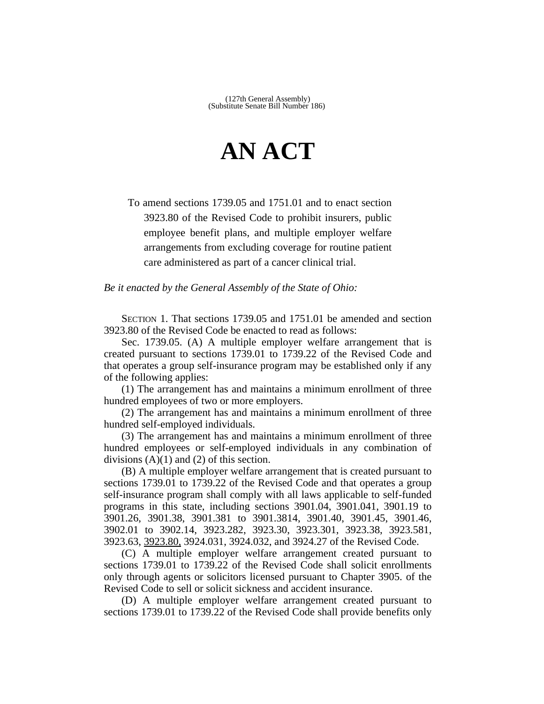## **AN ACT**

To amend sections 1739.05 and 1751.01 and to enact section 3923.80 of the Revised Code to prohibit insurers, public employee benefit plans, and multiple employer welfare arrangements from excluding coverage for routine patient care administered as part of a cancer clinical trial.

*Be it enacted by the General Assembly of the State of Ohio:*

SECTION 1. That sections 1739.05 and 1751.01 be amended and section 3923.80 of the Revised Code be enacted to read as follows:

Sec. 1739.05. (A) A multiple employer welfare arrangement that is created pursuant to sections 1739.01 to 1739.22 of the Revised Code and that operates a group self-insurance program may be established only if any of the following applies:

(1) The arrangement has and maintains a minimum enrollment of three hundred employees of two or more employers.

(2) The arrangement has and maintains a minimum enrollment of three hundred self-employed individuals.

(3) The arrangement has and maintains a minimum enrollment of three hundred employees or self-employed individuals in any combination of divisions  $(A)(1)$  and  $(2)$  of this section.

(B) A multiple employer welfare arrangement that is created pursuant to sections 1739.01 to 1739.22 of the Revised Code and that operates a group self-insurance program shall comply with all laws applicable to self-funded programs in this state, including sections 3901.04, 3901.041, 3901.19 to 3901.26, 3901.38, 3901.381 to 3901.3814, 3901.40, 3901.45, 3901.46, 3902.01 to 3902.14, 3923.282, 3923.30, 3923.301, 3923.38, 3923.581, 3923.63, 3923.80, 3924.031, 3924.032, and 3924.27 of the Revised Code.

(C) A multiple employer welfare arrangement created pursuant to sections 1739.01 to 1739.22 of the Revised Code shall solicit enrollments only through agents or solicitors licensed pursuant to Chapter 3905. of the Revised Code to sell or solicit sickness and accident insurance.

(D) A multiple employer welfare arrangement created pursuant to sections 1739.01 to 1739.22 of the Revised Code shall provide benefits only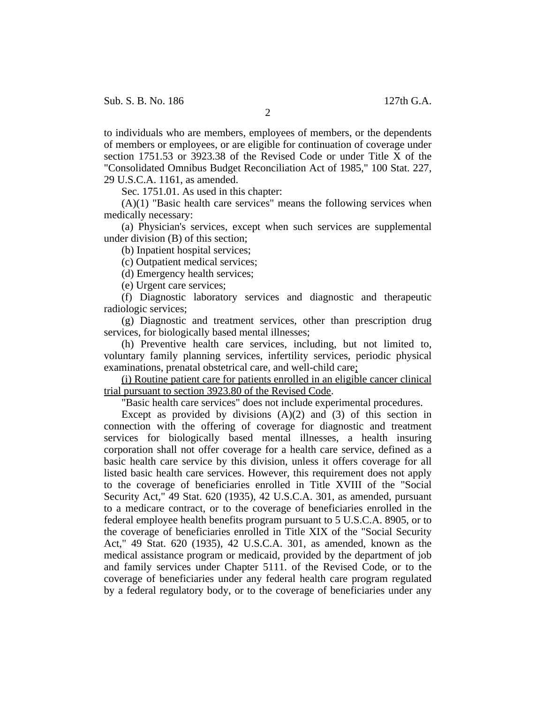to individuals who are members, employees of members, or the dependents of members or employees, or are eligible for continuation of coverage under section 1751.53 or 3923.38 of the Revised Code or under Title X of the "Consolidated Omnibus Budget Reconciliation Act of 1985," 100 Stat. 227, 29 U.S.C.A. 1161, as amended.

Sec. 1751.01. As used in this chapter:

 $(A)(1)$  "Basic health care services" means the following services when medically necessary:

(a) Physician's services, except when such services are supplemental under division (B) of this section;

(b) Inpatient hospital services;

(c) Outpatient medical services;

(d) Emergency health services;

(e) Urgent care services;

(f) Diagnostic laboratory services and diagnostic and therapeutic radiologic services;

(g) Diagnostic and treatment services, other than prescription drug services, for biologically based mental illnesses;

(h) Preventive health care services, including, but not limited to, voluntary family planning services, infertility services, periodic physical examinations, prenatal obstetrical care, and well-child care;

(i) Routine patient care for patients enrolled in an eligible cancer clinical trial pursuant to section 3923.80 of the Revised Code.

"Basic health care services" does not include experimental procedures.

Except as provided by divisions  $(A)(2)$  and  $(3)$  of this section in connection with the offering of coverage for diagnostic and treatment services for biologically based mental illnesses, a health insuring corporation shall not offer coverage for a health care service, defined as a basic health care service by this division, unless it offers coverage for all listed basic health care services. However, this requirement does not apply to the coverage of beneficiaries enrolled in Title XVIII of the "Social Security Act," 49 Stat. 620 (1935), 42 U.S.C.A. 301, as amended, pursuant to a medicare contract, or to the coverage of beneficiaries enrolled in the federal employee health benefits program pursuant to 5 U.S.C.A. 8905, or to the coverage of beneficiaries enrolled in Title XIX of the "Social Security Act," 49 Stat. 620 (1935), 42 U.S.C.A. 301, as amended, known as the medical assistance program or medicaid, provided by the department of job and family services under Chapter 5111. of the Revised Code, or to the coverage of beneficiaries under any federal health care program regulated by a federal regulatory body, or to the coverage of beneficiaries under any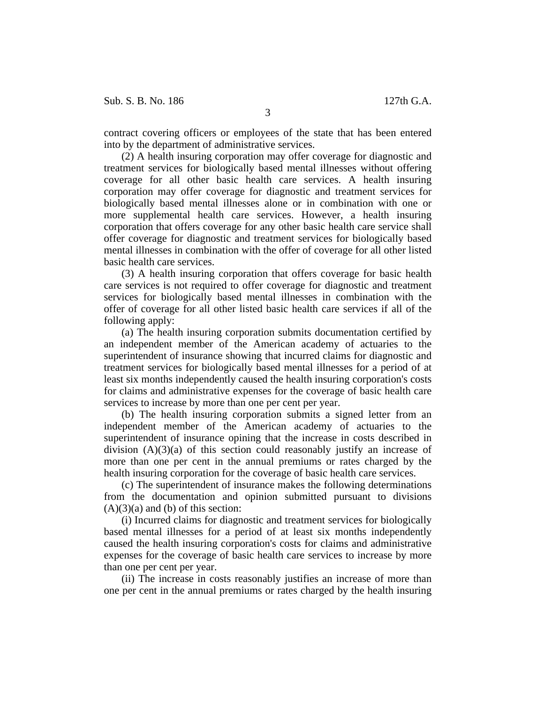contract covering officers or employees of the state that has been entered into by the department of administrative services.

(2) A health insuring corporation may offer coverage for diagnostic and treatment services for biologically based mental illnesses without offering coverage for all other basic health care services. A health insuring corporation may offer coverage for diagnostic and treatment services for biologically based mental illnesses alone or in combination with one or more supplemental health care services. However, a health insuring corporation that offers coverage for any other basic health care service shall offer coverage for diagnostic and treatment services for biologically based mental illnesses in combination with the offer of coverage for all other listed basic health care services.

(3) A health insuring corporation that offers coverage for basic health care services is not required to offer coverage for diagnostic and treatment services for biologically based mental illnesses in combination with the offer of coverage for all other listed basic health care services if all of the following apply:

(a) The health insuring corporation submits documentation certified by an independent member of the American academy of actuaries to the superintendent of insurance showing that incurred claims for diagnostic and treatment services for biologically based mental illnesses for a period of at least six months independently caused the health insuring corporation's costs for claims and administrative expenses for the coverage of basic health care services to increase by more than one per cent per year.

(b) The health insuring corporation submits a signed letter from an independent member of the American academy of actuaries to the superintendent of insurance opining that the increase in costs described in division  $(A)(3)(a)$  of this section could reasonably justify an increase of more than one per cent in the annual premiums or rates charged by the health insuring corporation for the coverage of basic health care services.

(c) The superintendent of insurance makes the following determinations from the documentation and opinion submitted pursuant to divisions  $(A)(3)(a)$  and  $(b)$  of this section:

(i) Incurred claims for diagnostic and treatment services for biologically based mental illnesses for a period of at least six months independently caused the health insuring corporation's costs for claims and administrative expenses for the coverage of basic health care services to increase by more than one per cent per year.

(ii) The increase in costs reasonably justifies an increase of more than one per cent in the annual premiums or rates charged by the health insuring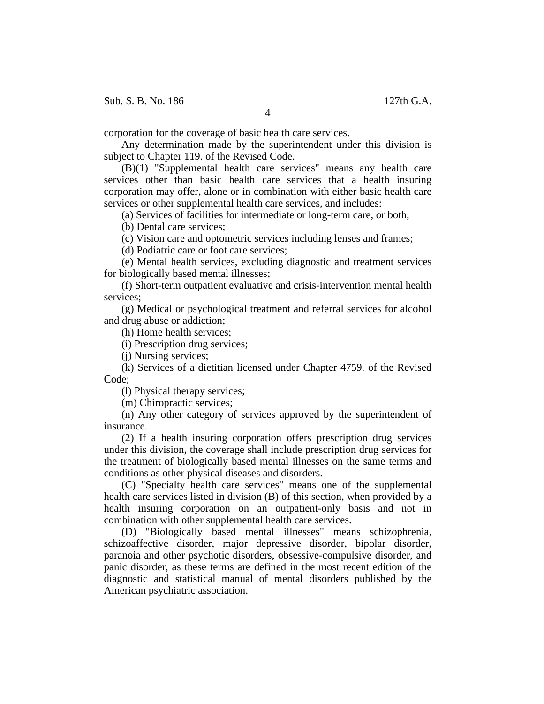Sub. S. B. No. 186 127th G.A.

4

corporation for the coverage of basic health care services.

Any determination made by the superintendent under this division is subject to Chapter 119. of the Revised Code.

(B)(1) "Supplemental health care services" means any health care services other than basic health care services that a health insuring corporation may offer, alone or in combination with either basic health care services or other supplemental health care services, and includes:

(a) Services of facilities for intermediate or long-term care, or both;

(b) Dental care services;

(c) Vision care and optometric services including lenses and frames;

(d) Podiatric care or foot care services;

(e) Mental health services, excluding diagnostic and treatment services for biologically based mental illnesses;

(f) Short-term outpatient evaluative and crisis-intervention mental health services;

(g) Medical or psychological treatment and referral services for alcohol and drug abuse or addiction;

(h) Home health services;

(i) Prescription drug services;

(j) Nursing services;

(k) Services of a dietitian licensed under Chapter 4759. of the Revised Code;

(l) Physical therapy services;

(m) Chiropractic services;

(n) Any other category of services approved by the superintendent of insurance.

(2) If a health insuring corporation offers prescription drug services under this division, the coverage shall include prescription drug services for the treatment of biologically based mental illnesses on the same terms and conditions as other physical diseases and disorders.

(C) "Specialty health care services" means one of the supplemental health care services listed in division (B) of this section, when provided by a health insuring corporation on an outpatient-only basis and not in combination with other supplemental health care services.

(D) "Biologically based mental illnesses" means schizophrenia, schizoaffective disorder, major depressive disorder, bipolar disorder, paranoia and other psychotic disorders, obsessive-compulsive disorder, and panic disorder, as these terms are defined in the most recent edition of the diagnostic and statistical manual of mental disorders published by the American psychiatric association.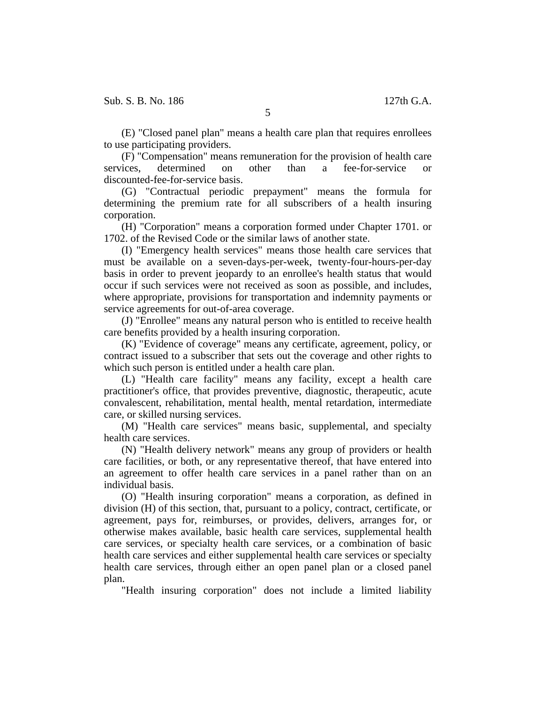(E) "Closed panel plan" means a health care plan that requires enrollees to use participating providers.

(F) "Compensation" means remuneration for the provision of health care services, determined on other than a fee-for-service or discounted-fee-for-service basis.

(G) "Contractual periodic prepayment" means the formula for determining the premium rate for all subscribers of a health insuring corporation.

(H) "Corporation" means a corporation formed under Chapter 1701. or 1702. of the Revised Code or the similar laws of another state.

(I) "Emergency health services" means those health care services that must be available on a seven-days-per-week, twenty-four-hours-per-day basis in order to prevent jeopardy to an enrollee's health status that would occur if such services were not received as soon as possible, and includes, where appropriate, provisions for transportation and indemnity payments or service agreements for out-of-area coverage.

(J) "Enrollee" means any natural person who is entitled to receive health care benefits provided by a health insuring corporation.

(K) "Evidence of coverage" means any certificate, agreement, policy, or contract issued to a subscriber that sets out the coverage and other rights to which such person is entitled under a health care plan.

(L) "Health care facility" means any facility, except a health care practitioner's office, that provides preventive, diagnostic, therapeutic, acute convalescent, rehabilitation, mental health, mental retardation, intermediate care, or skilled nursing services.

(M) "Health care services" means basic, supplemental, and specialty health care services.

(N) "Health delivery network" means any group of providers or health care facilities, or both, or any representative thereof, that have entered into an agreement to offer health care services in a panel rather than on an individual basis.

(O) "Health insuring corporation" means a corporation, as defined in division (H) of this section, that, pursuant to a policy, contract, certificate, or agreement, pays for, reimburses, or provides, delivers, arranges for, or otherwise makes available, basic health care services, supplemental health care services, or specialty health care services, or a combination of basic health care services and either supplemental health care services or specialty health care services, through either an open panel plan or a closed panel plan.

"Health insuring corporation" does not include a limited liability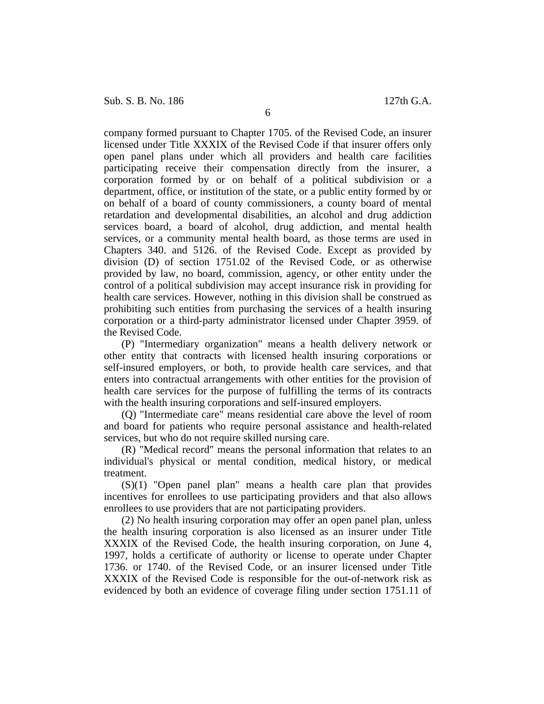company formed pursuant to Chapter 1705. of the Revised Code, an insurer licensed under Title XXXIX of the Revised Code if that insurer offers only open panel plans under which all providers and health care facilities participating receive their compensation directly from the insurer, a corporation formed by or on behalf of a political subdivision or a department, office, or institution of the state, or a public entity formed by or on behalf of a board of county commissioners, a county board of mental retardation and developmental disabilities, an alcohol and drug addiction services board, a board of alcohol, drug addiction, and mental health services, or a community mental health board, as those terms are used in Chapters 340. and 5126. of the Revised Code. Except as provided by division (D) of section 1751.02 of the Revised Code, or as otherwise provided by law, no board, commission, agency, or other entity under the control of a political subdivision may accept insurance risk in providing for health care services. However, nothing in this division shall be construed as prohibiting such entities from purchasing the services of a health insuring corporation or a third-party administrator licensed under Chapter 3959. of the Revised Code.

(P) "Intermediary organization" means a health delivery network or other entity that contracts with licensed health insuring corporations or self-insured employers, or both, to provide health care services, and that enters into contractual arrangements with other entities for the provision of health care services for the purpose of fulfilling the terms of its contracts with the health insuring corporations and self-insured employers.

(Q) "Intermediate care" means residential care above the level of room and board for patients who require personal assistance and health-related services, but who do not require skilled nursing care.

(R) "Medical record" means the personal information that relates to an individual's physical or mental condition, medical history, or medical treatment.

(S)(1) "Open panel plan" means a health care plan that provides incentives for enrollees to use participating providers and that also allows enrollees to use providers that are not participating providers.

(2) No health insuring corporation may offer an open panel plan, unless the health insuring corporation is also licensed as an insurer under Title XXXIX of the Revised Code, the health insuring corporation, on June 4, 1997, holds a certificate of authority or license to operate under Chapter 1736. or 1740. of the Revised Code, or an insurer licensed under Title XXXIX of the Revised Code is responsible for the out-of-network risk as evidenced by both an evidence of coverage filing under section 1751.11 of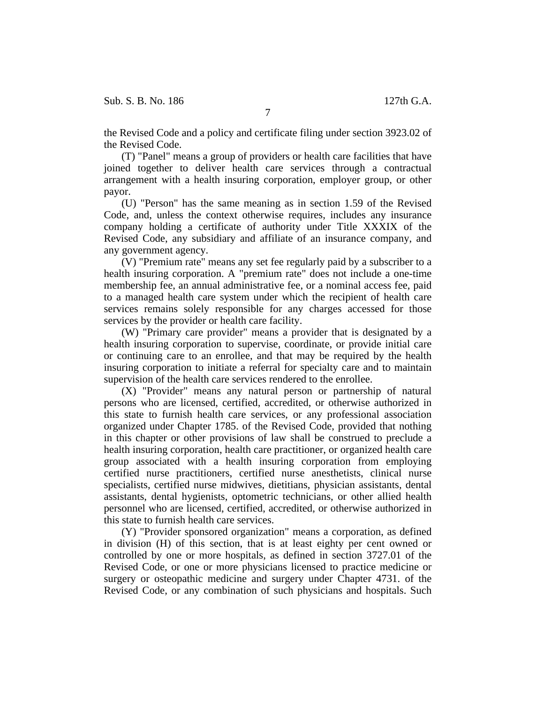the Revised Code and a policy and certificate filing under section 3923.02 of the Revised Code.

(T) "Panel" means a group of providers or health care facilities that have joined together to deliver health care services through a contractual arrangement with a health insuring corporation, employer group, or other payor.

(U) "Person" has the same meaning as in section 1.59 of the Revised Code, and, unless the context otherwise requires, includes any insurance company holding a certificate of authority under Title XXXIX of the Revised Code, any subsidiary and affiliate of an insurance company, and any government agency.

(V) "Premium rate" means any set fee regularly paid by a subscriber to a health insuring corporation. A "premium rate" does not include a one-time membership fee, an annual administrative fee, or a nominal access fee, paid to a managed health care system under which the recipient of health care services remains solely responsible for any charges accessed for those services by the provider or health care facility.

(W) "Primary care provider" means a provider that is designated by a health insuring corporation to supervise, coordinate, or provide initial care or continuing care to an enrollee, and that may be required by the health insuring corporation to initiate a referral for specialty care and to maintain supervision of the health care services rendered to the enrollee.

(X) "Provider" means any natural person or partnership of natural persons who are licensed, certified, accredited, or otherwise authorized in this state to furnish health care services, or any professional association organized under Chapter 1785. of the Revised Code, provided that nothing in this chapter or other provisions of law shall be construed to preclude a health insuring corporation, health care practitioner, or organized health care group associated with a health insuring corporation from employing certified nurse practitioners, certified nurse anesthetists, clinical nurse specialists, certified nurse midwives, dietitians, physician assistants, dental assistants, dental hygienists, optometric technicians, or other allied health personnel who are licensed, certified, accredited, or otherwise authorized in this state to furnish health care services.

(Y) "Provider sponsored organization" means a corporation, as defined in division (H) of this section, that is at least eighty per cent owned or controlled by one or more hospitals, as defined in section 3727.01 of the Revised Code, or one or more physicians licensed to practice medicine or surgery or osteopathic medicine and surgery under Chapter 4731. of the Revised Code, or any combination of such physicians and hospitals. Such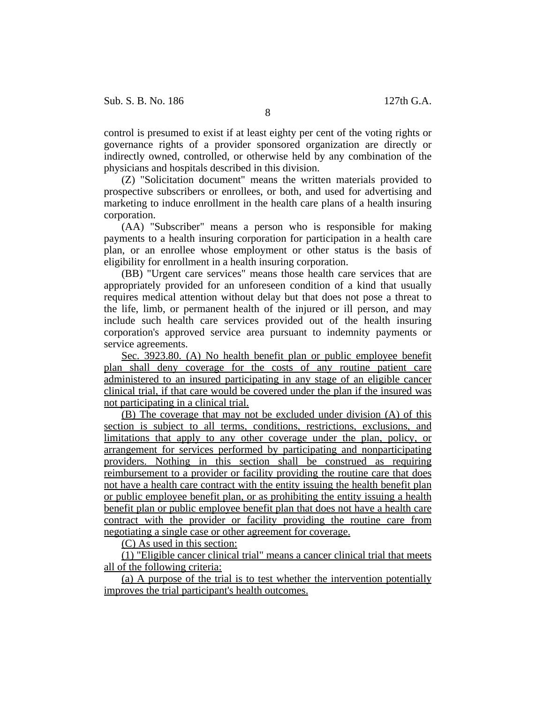control is presumed to exist if at least eighty per cent of the voting rights or governance rights of a provider sponsored organization are directly or indirectly owned, controlled, or otherwise held by any combination of the physicians and hospitals described in this division.

(Z) "Solicitation document" means the written materials provided to prospective subscribers or enrollees, or both, and used for advertising and marketing to induce enrollment in the health care plans of a health insuring corporation.

(AA) "Subscriber" means a person who is responsible for making payments to a health insuring corporation for participation in a health care plan, or an enrollee whose employment or other status is the basis of eligibility for enrollment in a health insuring corporation.

(BB) "Urgent care services" means those health care services that are appropriately provided for an unforeseen condition of a kind that usually requires medical attention without delay but that does not pose a threat to the life, limb, or permanent health of the injured or ill person, and may include such health care services provided out of the health insuring corporation's approved service area pursuant to indemnity payments or service agreements.

Sec. 3923.80. (A) No health benefit plan or public employee benefit plan shall deny coverage for the costs of any routine patient care administered to an insured participating in any stage of an eligible cancer clinical trial, if that care would be covered under the plan if the insured was not participating in a clinical trial.

(B) The coverage that may not be excluded under division (A) of this section is subject to all terms, conditions, restrictions, exclusions, and limitations that apply to any other coverage under the plan, policy, or arrangement for services performed by participating and nonparticipating providers. Nothing in this section shall be construed as requiring reimbursement to a provider or facility providing the routine care that does not have a health care contract with the entity issuing the health benefit plan or public employee benefit plan, or as prohibiting the entity issuing a health benefit plan or public employee benefit plan that does not have a health care contract with the provider or facility providing the routine care from negotiating a single case or other agreement for coverage.

(C) As used in this section:

(1) "Eligible cancer clinical trial" means a cancer clinical trial that meets all of the following criteria:

(a) A purpose of the trial is to test whether the intervention potentially improves the trial participant's health outcomes.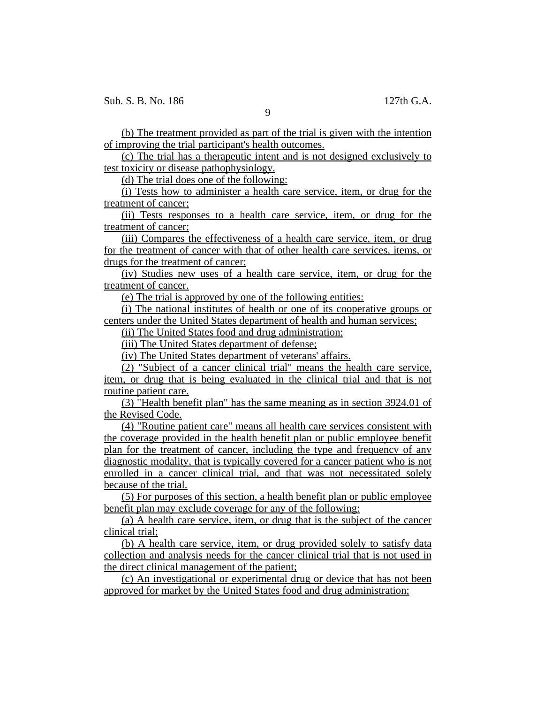(b) The treatment provided as part of the trial is given with the intention of improving the trial participant's health outcomes.

(c) The trial has a therapeutic intent and is not designed exclusively to test toxicity or disease pathophysiology.

(d) The trial does one of the following:

(i) Tests how to administer a health care service, item, or drug for the treatment of cancer;

(ii) Tests responses to a health care service, item, or drug for the treatment of cancer;

(iii) Compares the effectiveness of a health care service, item, or drug for the treatment of cancer with that of other health care services, items, or drugs for the treatment of cancer;

(iv) Studies new uses of a health care service, item, or drug for the treatment of cancer.

(e) The trial is approved by one of the following entities:

(i) The national institutes of health or one of its cooperative groups or centers under the United States department of health and human services;

(ii) The United States food and drug administration;

(iii) The United States department of defense;

(iv) The United States department of veterans' affairs.

(2) "Subject of a cancer clinical trial" means the health care service, item, or drug that is being evaluated in the clinical trial and that is not routine patient care.

(3) "Health benefit plan" has the same meaning as in section 3924.01 of the Revised Code.

(4) "Routine patient care" means all health care services consistent with the coverage provided in the health benefit plan or public employee benefit plan for the treatment of cancer, including the type and frequency of any diagnostic modality, that is typically covered for a cancer patient who is not enrolled in a cancer clinical trial, and that was not necessitated solely because of the trial.

(5) For purposes of this section, a health benefit plan or public employee benefit plan may exclude coverage for any of the following:

(a) A health care service, item, or drug that is the subject of the cancer clinical trial;

(b) A health care service, item, or drug provided solely to satisfy data collection and analysis needs for the cancer clinical trial that is not used in the direct clinical management of the patient;

(c) An investigational or experimental drug or device that has not been approved for market by the United States food and drug administration;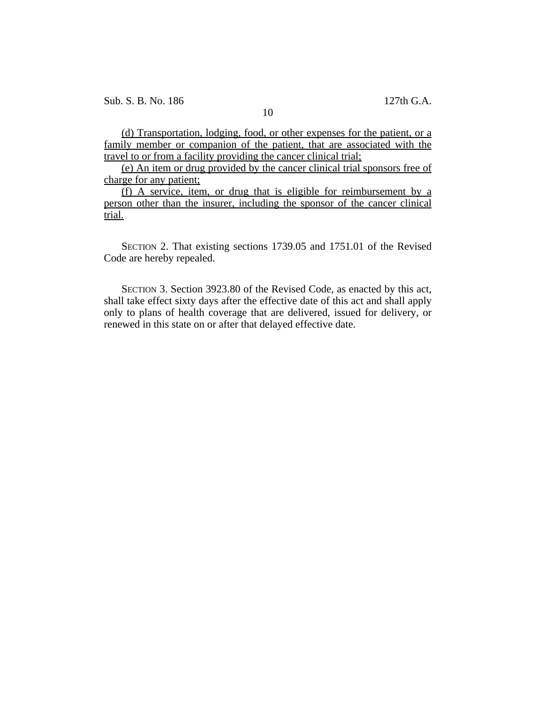10

(d) Transportation, lodging, food, or other expenses for the patient, or a family member or companion of the patient, that are associated with the travel to or from a facility providing the cancer clinical trial;

(e) An item or drug provided by the cancer clinical trial sponsors free of charge for any patient;

(f) A service, item, or drug that is eligible for reimbursement by a person other than the insurer, including the sponsor of the cancer clinical trial.

SECTION 2. That existing sections 1739.05 and 1751.01 of the Revised Code are hereby repealed.

SECTION 3. Section 3923.80 of the Revised Code, as enacted by this act, shall take effect sixty days after the effective date of this act and shall apply only to plans of health coverage that are delivered, issued for delivery, or renewed in this state on or after that delayed effective date.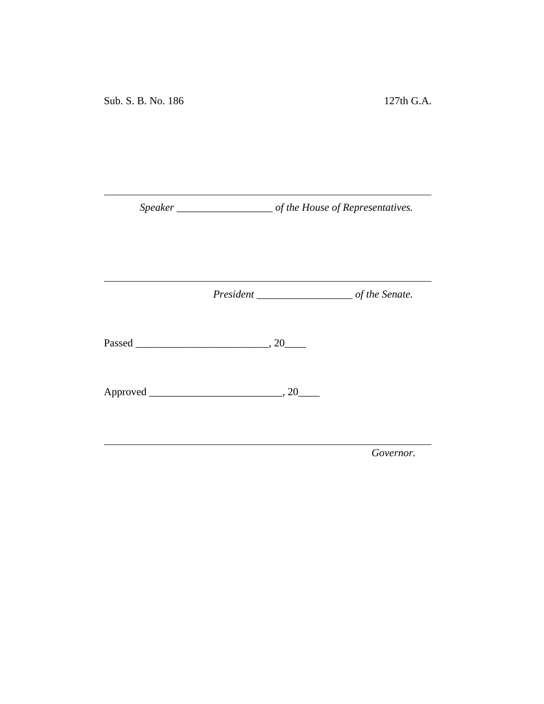*Speaker \_\_\_\_\_\_\_\_\_\_\_\_\_\_\_\_\_\_ of the House of Representatives.*

<u> 1980 - Johann Barbara, martxa a</u>

*President \_\_\_\_\_\_\_\_\_\_\_\_\_\_\_\_\_\_ of the Senate.*

<u> 1980 - Johann Barbara, martxa a</u>

Passed \_\_\_\_\_\_\_\_\_\_\_\_\_\_\_\_\_\_\_\_\_\_\_\_\_, 20\_\_\_\_

Approved \_\_\_\_\_\_\_\_\_\_\_\_\_\_\_\_\_\_\_\_\_\_\_\_\_, 20\_\_\_\_

*Governor.*